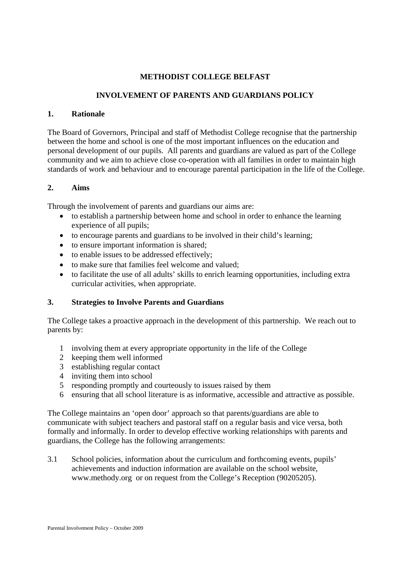# **METHODIST COLLEGE BELFAST**

# **INVOLVEMENT OF PARENTS AND GUARDIANS POLICY**

#### **1. Rationale**

The Board of Governors, Principal and staff of Methodist College recognise that the partnership between the home and school is one of the most important influences on the education and personal development of our pupils. All parents and guardians are valued as part of the College community and we aim to achieve close co-operation with all families in order to maintain high standards of work and behaviour and to encourage parental participation in the life of the College.

## **2. Aims**

Through the involvement of parents and guardians our aims are:

- to establish a partnership between home and school in order to enhance the learning experience of all pupils;
- to encourage parents and guardians to be involved in their child's learning;
- to ensure important information is shared;
- to enable issues to be addressed effectively;
- to make sure that families feel welcome and valued;
- to facilitate the use of all adults' skills to enrich learning opportunities, including extra curricular activities, when appropriate.

#### **3. Strategies to Involve Parents and Guardians**

The College takes a proactive approach in the development of this partnership. We reach out to parents by:

- 1 involving them at every appropriate opportunity in the life of the College
- 2 keeping them well informed
- 3 establishing regular contact
- 4 inviting them into school
- 5 responding promptly and courteously to issues raised by them
- 6 ensuring that all school literature is as informative, accessible and attractive as possible.

The College maintains an 'open door' approach so that parents/guardians are able to communicate with subject teachers and pastoral staff on a regular basis and vice versa, both formally and informally. In order to develop effective working relationships with parents and guardians, the College has the following arrangements:

3.1 School policies, information about the curriculum and forthcoming events, pupils' achievements and induction information are available on the school website, www.methody.org or on request from the College's Reception (90205205).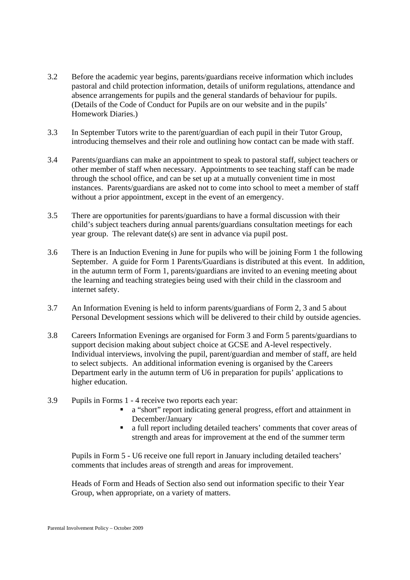- 3.2 Before the academic year begins, parents/guardians receive information which includes pastoral and child protection information, details of uniform regulations, attendance and absence arrangements for pupils and the general standards of behaviour for pupils. (Details of the Code of Conduct for Pupils are on our website and in the pupils' Homework Diaries.)
- 3.3 In September Tutors write to the parent/guardian of each pupil in their Tutor Group, introducing themselves and their role and outlining how contact can be made with staff.
- 3.4 Parents/guardians can make an appointment to speak to pastoral staff, subject teachers or other member of staff when necessary. Appointments to see teaching staff can be made through the school office, and can be set up at a mutually convenient time in most instances. Parents/guardians are asked not to come into school to meet a member of staff without a prior appointment, except in the event of an emergency.
- 3.5 There are opportunities for parents/guardians to have a formal discussion with their child's subject teachers during annual parents/guardians consultation meetings for each year group. The relevant date(s) are sent in advance via pupil post.
- 3.6 There is an Induction Evening in June for pupils who will be joining Form 1 the following September. A guide for Form 1 Parents/Guardians is distributed at this event. In addition, in the autumn term of Form 1, parents/guardians are invited to an evening meeting about the learning and teaching strategies being used with their child in the classroom and internet safety.
- 3.7 An Information Evening is held to inform parents/guardians of Form 2, 3 and 5 about Personal Development sessions which will be delivered to their child by outside agencies.
- 3.8 Careers Information Evenings are organised for Form 3 and Form 5 parents/guardians to support decision making about subject choice at GCSE and A-level respectively. Individual interviews, involving the pupil, parent/guardian and member of staff, are held to select subjects. An additional information evening is organised by the Careers Department early in the autumn term of U6 in preparation for pupils' applications to higher education.
- 3.9 Pupils in Forms 1 4 receive two reports each year:
	- a "short" report indicating general progress, effort and attainment in December/January
	- a full report including detailed teachers' comments that cover areas of strength and areas for improvement at the end of the summer term

Pupils in Form 5 - U6 receive one full report in January including detailed teachers' comments that includes areas of strength and areas for improvement.

Heads of Form and Heads of Section also send out information specific to their Year Group, when appropriate, on a variety of matters.